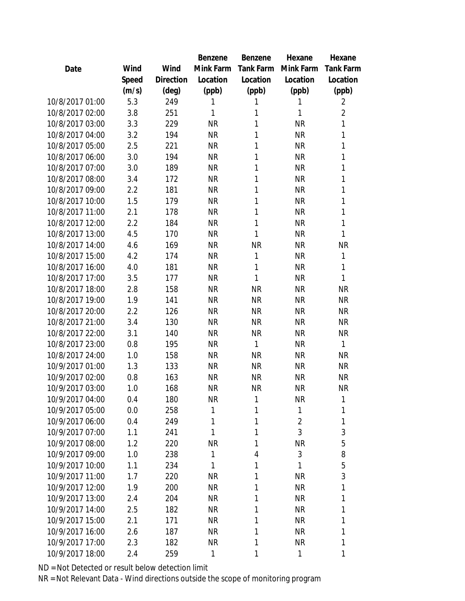|                 |       |           | Benzene   | Benzene   | Hexane         | Hexane         |
|-----------------|-------|-----------|-----------|-----------|----------------|----------------|
| Date            | Wind  | Wind      | Mink Farm | Tank Farm | Mink Farm      | Tank Farm      |
|                 | Speed | Direction | Location  | Location  | Location       | Location       |
|                 | (m/s) | (deg)     | (ppb)     | (ppb)     | (ppb)          | (ppb)          |
| 10/8/2017 01:00 | 5.3   | 249       | 1         | 1         | 1              | 2              |
| 10/8/2017 02:00 | 3.8   | 251       | 1         | 1         | $\mathbf{1}$   | $\overline{2}$ |
| 10/8/2017 03:00 | 3.3   | 229       | <b>NR</b> | 1         | <b>NR</b>      | 1              |
| 10/8/2017 04:00 | 3.2   | 194       | <b>NR</b> | 1         | <b>NR</b>      | 1              |
| 10/8/2017 05:00 | 2.5   | 221       | <b>NR</b> | 1         | <b>NR</b>      | 1              |
| 10/8/2017 06:00 | 3.0   | 194       | <b>NR</b> | 1         | <b>NR</b>      | 1              |
| 10/8/2017 07:00 | 3.0   | 189       | <b>NR</b> | 1         | <b>NR</b>      | 1              |
| 10/8/2017 08:00 | 3.4   | 172       | <b>NR</b> | 1         | <b>NR</b>      | 1              |
| 10/8/2017 09:00 | 2.2   | 181       | <b>NR</b> | 1         | <b>NR</b>      | 1              |
| 10/8/2017 10:00 | 1.5   | 179       | <b>NR</b> | 1         | <b>NR</b>      | 1              |
| 10/8/2017 11:00 | 2.1   | 178       | <b>NR</b> | 1         | <b>NR</b>      | 1              |
| 10/8/2017 12:00 | 2.2   | 184       | <b>NR</b> | 1         | <b>NR</b>      | 1              |
| 10/8/2017 13:00 | 4.5   | 170       | <b>NR</b> | 1         | <b>NR</b>      | 1              |
| 10/8/2017 14:00 | 4.6   | 169       | <b>NR</b> | <b>NR</b> | <b>NR</b>      | <b>NR</b>      |
| 10/8/2017 15:00 | 4.2   | 174       | <b>NR</b> | 1         | <b>NR</b>      | 1              |
| 10/8/2017 16:00 | 4.0   | 181       | <b>NR</b> | 1         | <b>NR</b>      | 1              |
| 10/8/2017 17:00 | 3.5   | 177       | <b>NR</b> | 1         | <b>NR</b>      | 1              |
| 10/8/2017 18:00 | 2.8   | 158       | <b>NR</b> | <b>NR</b> | <b>NR</b>      | <b>NR</b>      |
| 10/8/2017 19:00 | 1.9   | 141       | <b>NR</b> | <b>NR</b> | <b>NR</b>      | <b>NR</b>      |
| 10/8/2017 20:00 | 2.2   | 126       | <b>NR</b> | <b>NR</b> | <b>NR</b>      | <b>NR</b>      |
| 10/8/2017 21:00 | 3.4   | 130       | <b>NR</b> | <b>NR</b> | <b>NR</b>      | <b>NR</b>      |
| 10/8/2017 22:00 | 3.1   | 140       | <b>NR</b> | <b>NR</b> | <b>NR</b>      | <b>NR</b>      |
| 10/8/2017 23:00 | 0.8   | 195       | <b>NR</b> | 1         | <b>NR</b>      | 1              |
| 10/8/2017 24:00 | 1.0   | 158       | <b>NR</b> | <b>NR</b> | <b>NR</b>      | <b>NR</b>      |
| 10/9/2017 01:00 | 1.3   | 133       | <b>NR</b> | <b>NR</b> | <b>NR</b>      | <b>NR</b>      |
| 10/9/2017 02:00 | 0.8   | 163       | <b>NR</b> | <b>NR</b> | <b>NR</b>      | <b>NR</b>      |
| 10/9/2017 03:00 | 1.0   | 168       | <b>NR</b> | <b>NR</b> | <b>NR</b>      | <b>NR</b>      |
| 10/9/2017 04:00 | 0.4   | 180       | <b>NR</b> | 1         | <b>NR</b>      | 1              |
| 10/9/2017 05:00 | 0.0   | 258       | 1         | 1         | $\mathbf{1}$   | 1              |
| 10/9/2017 06:00 | 0.4   | 249       | 1         | 1         | $\overline{2}$ | 1              |
| 10/9/2017 07:00 | 1.1   | 241       | 1         | 1         | 3              | 3              |
| 10/9/2017 08:00 | 1.2   | 220       | <b>NR</b> | 1         | <b>NR</b>      | 5              |
| 10/9/2017 09:00 | 1.0   | 238       | 1         | 4         | 3              | 8              |
| 10/9/2017 10:00 | 1.1   | 234       | 1         | 1         | 1              | 5              |
| 10/9/2017 11:00 | 1.7   | 220       | <b>NR</b> | 1         | <b>NR</b>      | 3              |
| 10/9/2017 12:00 | 1.9   | 200       | <b>NR</b> | 1         | <b>NR</b>      | 1              |
| 10/9/2017 13:00 | 2.4   | 204       | <b>NR</b> | 1         | <b>NR</b>      | 1              |
| 10/9/2017 14:00 | 2.5   | 182       | <b>NR</b> | 1         | <b>NR</b>      | 1              |
| 10/9/2017 15:00 | 2.1   | 171       | <b>NR</b> | 1         | <b>NR</b>      | 1              |
| 10/9/2017 16:00 | 2.6   | 187       | <b>NR</b> | 1         | <b>NR</b>      | 1              |
| 10/9/2017 17:00 | 2.3   | 182       | <b>NR</b> | 1         | <b>NR</b>      | 1              |
| 10/9/2017 18:00 | 2.4   | 259       | 1         | 1         | 1              | 1              |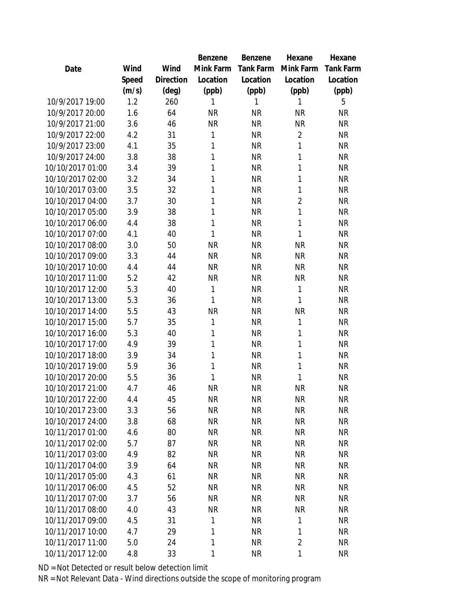|                  |       |                | Benzene   | Benzene          | Hexane         | Hexane    |
|------------------|-------|----------------|-----------|------------------|----------------|-----------|
| Date             | Wind  | Wind           | Mink Farm | <b>Tank Farm</b> | Mink Farm      | Tank Farm |
|                  | Speed | Direction      | Location  | Location         | Location       | Location  |
|                  | (m/s) | $(\text{deg})$ | (ppb)     | (ppb)            | (ppb)          | (ppb)     |
| 10/9/2017 19:00  | 1.2   | 260            | 1         | 1                | 1              | 5         |
| 10/9/2017 20:00  | 1.6   | 64             | <b>NR</b> | <b>NR</b>        | <b>NR</b>      | <b>NR</b> |
| 10/9/2017 21:00  | 3.6   | 46             | <b>NR</b> | <b>NR</b>        | <b>NR</b>      | <b>NR</b> |
| 10/9/2017 22:00  | 4.2   | 31             | 1         | <b>NR</b>        | $\overline{2}$ | <b>NR</b> |
| 10/9/2017 23:00  | 4.1   | 35             | 1         | <b>NR</b>        | 1              | <b>NR</b> |
| 10/9/2017 24:00  | 3.8   | 38             | 1         | <b>NR</b>        | 1              | <b>NR</b> |
| 10/10/2017 01:00 | 3.4   | 39             | 1         | <b>NR</b>        | 1              | <b>NR</b> |
| 10/10/2017 02:00 | 3.2   | 34             | 1         | <b>NR</b>        | 1              | <b>NR</b> |
| 10/10/2017 03:00 | 3.5   | 32             | 1         | <b>NR</b>        | 1              | <b>NR</b> |
| 10/10/2017 04:00 | 3.7   | 30             | 1         | <b>NR</b>        | $\overline{2}$ | <b>NR</b> |
| 10/10/2017 05:00 | 3.9   | 38             | 1         | <b>NR</b>        | 1              | <b>NR</b> |
| 10/10/2017 06:00 | 4.4   | 38             | 1         | <b>NR</b>        | 1              | <b>NR</b> |
| 10/10/2017 07:00 | 4.1   | 40             | 1         | <b>NR</b>        | 1              | <b>NR</b> |
| 10/10/2017 08:00 | 3.0   | 50             | <b>NR</b> | <b>NR</b>        | <b>NR</b>      | <b>NR</b> |
| 10/10/2017 09:00 | 3.3   | 44             | <b>NR</b> | <b>NR</b>        | <b>NR</b>      | <b>NR</b> |
| 10/10/2017 10:00 | 4.4   | 44             | <b>NR</b> | <b>NR</b>        | <b>NR</b>      | <b>NR</b> |
| 10/10/2017 11:00 | 5.2   | 42             | <b>NR</b> | <b>NR</b>        | <b>NR</b>      | <b>NR</b> |
| 10/10/2017 12:00 | 5.3   | 40             | 1         | <b>NR</b>        | 1              | <b>NR</b> |
| 10/10/2017 13:00 | 5.3   | 36             | 1         | <b>NR</b>        | 1              | <b>NR</b> |
| 10/10/2017 14:00 | 5.5   | 43             | <b>NR</b> | <b>NR</b>        | <b>NR</b>      | <b>NR</b> |
| 10/10/2017 15:00 | 5.7   | 35             | 1         | <b>NR</b>        | 1              | <b>NR</b> |
| 10/10/2017 16:00 | 5.3   | 40             | 1         | <b>NR</b>        | 1              | <b>NR</b> |
| 10/10/2017 17:00 | 4.9   | 39             | 1         | <b>NR</b>        | 1              | <b>NR</b> |
| 10/10/2017 18:00 | 3.9   | 34             | 1         | <b>NR</b>        | 1              | <b>NR</b> |
| 10/10/2017 19:00 | 5.9   | 36             | 1         | <b>NR</b>        | 1              | <b>NR</b> |
| 10/10/2017 20:00 | 5.5   | 36             | 1         | <b>NR</b>        | 1              | <b>NR</b> |
| 10/10/2017 21:00 | 4.7   | 46             | <b>NR</b> | <b>NR</b>        | <b>NR</b>      | <b>NR</b> |
| 10/10/2017 22:00 | 4.4   | 45             | <b>NR</b> | <b>NR</b>        | <b>NR</b>      | <b>NR</b> |
| 10/10/2017 23:00 | 3.3   | 56             | <b>NR</b> | <b>NR</b>        | <b>NR</b>      | <b>NR</b> |
| 10/10/2017 24:00 | 3.8   | 68             | <b>NR</b> | <b>NR</b>        | <b>NR</b>      | <b>NR</b> |
| 10/11/2017 01:00 | 4.6   | 80             | <b>NR</b> | <b>NR</b>        | <b>NR</b>      | <b>NR</b> |
| 10/11/2017 02:00 | 5.7   | 87             | <b>NR</b> | <b>NR</b>        | <b>NR</b>      | <b>NR</b> |
| 10/11/2017 03:00 | 4.9   | 82             | <b>NR</b> | NR               | <b>NR</b>      | <b>NR</b> |
| 10/11/2017 04:00 | 3.9   | 64             | <b>NR</b> | <b>NR</b>        | <b>NR</b>      | <b>NR</b> |
| 10/11/2017 05:00 | 4.3   | 61             | <b>NR</b> | <b>NR</b>        | <b>NR</b>      | <b>NR</b> |
| 10/11/2017 06:00 | 4.5   | 52             | <b>NR</b> | <b>NR</b>        | <b>NR</b>      | <b>NR</b> |
| 10/11/2017 07:00 | 3.7   | 56             | <b>NR</b> | <b>NR</b>        | <b>NR</b>      | <b>NR</b> |
| 10/11/2017 08:00 | 4.0   | 43             | <b>NR</b> | <b>NR</b>        | <b>NR</b>      | <b>NR</b> |
| 10/11/2017 09:00 | 4.5   | 31             | 1         | <b>NR</b>        | 1              | <b>NR</b> |
| 10/11/2017 10:00 | 4.7   | 29             | 1         | <b>NR</b>        | 1              | <b>NR</b> |
| 10/11/2017 11:00 | 5.0   | 24             | 1         | <b>NR</b>        | $\overline{2}$ | <b>NR</b> |
| 10/11/2017 12:00 | 4.8   | 33             | 1         | <b>NR</b>        | 1              | <b>NR</b> |
|                  |       |                |           |                  |                |           |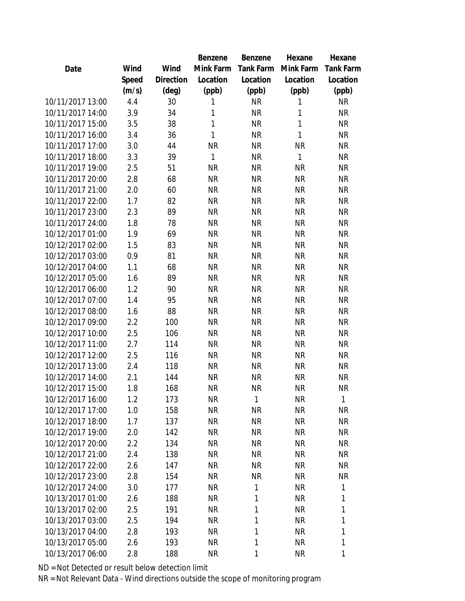|                  |       |                | Benzene   | Benzene          | Hexane    | Hexane           |
|------------------|-------|----------------|-----------|------------------|-----------|------------------|
| Date             | Wind  | Wind           | Mink Farm | <b>Tank Farm</b> | Mink Farm | <b>Tank Farm</b> |
|                  | Speed | Direction      | Location  | Location         | Location  | Location         |
|                  | (m/s) | $(\text{deg})$ | (ppb)     | (ppb)            | (ppb)     | (ppb)            |
| 10/11/2017 13:00 | 4.4   | 30             | 1         | <b>NR</b>        | 1         | <b>NR</b>        |
| 10/11/2017 14:00 | 3.9   | 34             | 1         | <b>NR</b>        | 1         | <b>NR</b>        |
| 10/11/2017 15:00 | 3.5   | 38             | 1         | <b>NR</b>        | 1         | <b>NR</b>        |
| 10/11/2017 16:00 | 3.4   | 36             | 1         | <b>NR</b>        | 1         | <b>NR</b>        |
| 10/11/2017 17:00 | 3.0   | 44             | <b>NR</b> | <b>NR</b>        | <b>NR</b> | <b>NR</b>        |
| 10/11/2017 18:00 | 3.3   | 39             | 1         | <b>NR</b>        | 1         | <b>NR</b>        |
| 10/11/2017 19:00 | 2.5   | 51             | <b>NR</b> | <b>NR</b>        | <b>NR</b> | <b>NR</b>        |
| 10/11/2017 20:00 | 2.8   | 68             | <b>NR</b> | <b>NR</b>        | <b>NR</b> | <b>NR</b>        |
| 10/11/2017 21:00 | 2.0   | 60             | <b>NR</b> | <b>NR</b>        | <b>NR</b> | <b>NR</b>        |
| 10/11/2017 22:00 | 1.7   | 82             | <b>NR</b> | <b>NR</b>        | <b>NR</b> | <b>NR</b>        |
| 10/11/2017 23:00 | 2.3   | 89             | <b>NR</b> | <b>NR</b>        | <b>NR</b> | <b>NR</b>        |
| 10/11/2017 24:00 | 1.8   | 78             | <b>NR</b> | <b>NR</b>        | <b>NR</b> | <b>NR</b>        |
| 10/12/2017 01:00 | 1.9   | 69             | <b>NR</b> | <b>NR</b>        | <b>NR</b> | <b>NR</b>        |
| 10/12/2017 02:00 | 1.5   | 83             | <b>NR</b> | <b>NR</b>        | <b>NR</b> | <b>NR</b>        |
| 10/12/2017 03:00 | 0.9   | 81             | <b>NR</b> | <b>NR</b>        | <b>NR</b> | <b>NR</b>        |
| 10/12/2017 04:00 | 1.1   | 68             | <b>NR</b> | <b>NR</b>        | <b>NR</b> | <b>NR</b>        |
| 10/12/2017 05:00 | 1.6   | 89             | <b>NR</b> | <b>NR</b>        | <b>NR</b> | <b>NR</b>        |
| 10/12/2017 06:00 | 1.2   | 90             | <b>NR</b> | <b>NR</b>        | <b>NR</b> | <b>NR</b>        |
| 10/12/2017 07:00 | 1.4   | 95             | <b>NR</b> | <b>NR</b>        | <b>NR</b> | <b>NR</b>        |
| 10/12/2017 08:00 | 1.6   | 88             | <b>NR</b> | <b>NR</b>        | <b>NR</b> | <b>NR</b>        |
| 10/12/2017 09:00 | 2.2   | 100            | <b>NR</b> | <b>NR</b>        | <b>NR</b> | <b>NR</b>        |
| 10/12/2017 10:00 | 2.5   | 106            | <b>NR</b> | <b>NR</b>        | <b>NR</b> | <b>NR</b>        |
| 10/12/2017 11:00 | 2.7   | 114            | <b>NR</b> | <b>NR</b>        | <b>NR</b> | <b>NR</b>        |
| 10/12/2017 12:00 | 2.5   | 116            | <b>NR</b> | <b>NR</b>        | <b>NR</b> | <b>NR</b>        |
| 10/12/2017 13:00 | 2.4   | 118            | <b>NR</b> | <b>NR</b>        | <b>NR</b> | <b>NR</b>        |
| 10/12/2017 14:00 | 2.1   | 144            | <b>NR</b> | <b>NR</b>        | <b>NR</b> | NR               |
| 10/12/2017 15:00 | 1.8   | 168            | <b>NR</b> | <b>NR</b>        | <b>NR</b> | <b>NR</b>        |
| 10/12/2017 16:00 | 1.2   | 173            | <b>NR</b> | $\mathbf{1}$     | <b>NR</b> | $\mathbf{1}$     |
| 10/12/2017 17:00 | 1.0   | 158            | <b>NR</b> | <b>NR</b>        | <b>NR</b> | <b>NR</b>        |
| 10/12/2017 18:00 | 1.7   | 137            | <b>NR</b> | <b>NR</b>        | <b>NR</b> | <b>NR</b>        |
| 10/12/2017 19:00 | 2.0   | 142            | <b>NR</b> | <b>NR</b>        | <b>NR</b> | <b>NR</b>        |
| 10/12/2017 20:00 | 2.2   | 134            | <b>NR</b> | <b>NR</b>        | <b>NR</b> | <b>NR</b>        |
| 10/12/2017 21:00 | 2.4   | 138            | <b>NR</b> | <b>NR</b>        | <b>NR</b> | NR               |
| 10/12/2017 22:00 | 2.6   | 147            | <b>NR</b> | <b>NR</b>        | <b>NR</b> | <b>NR</b>        |
| 10/12/2017 23:00 | 2.8   | 154            | NR.       | <b>NR</b>        | <b>NR</b> | <b>NR</b>        |
| 10/12/2017 24:00 | 3.0   | 177            | <b>NR</b> | 1                | <b>NR</b> | $\mathbf{1}$     |
| 10/13/2017 01:00 | 2.6   | 188            | <b>NR</b> | 1                | <b>NR</b> | 1                |
| 10/13/2017 02:00 | 2.5   | 191            | <b>NR</b> | 1                | <b>NR</b> | 1                |
| 10/13/2017 03:00 | 2.5   | 194            | <b>NR</b> | 1                | <b>NR</b> | 1                |
| 10/13/2017 04:00 | 2.8   | 193            | NR        | 1                | <b>NR</b> | 1                |
| 10/13/2017 05:00 | 2.6   | 193            | <b>NR</b> | 1                | <b>NR</b> | 1                |
| 10/13/2017 06:00 | 2.8   | 188            | <b>NR</b> | 1                | <b>NR</b> | 1                |
|                  |       |                |           |                  |           |                  |